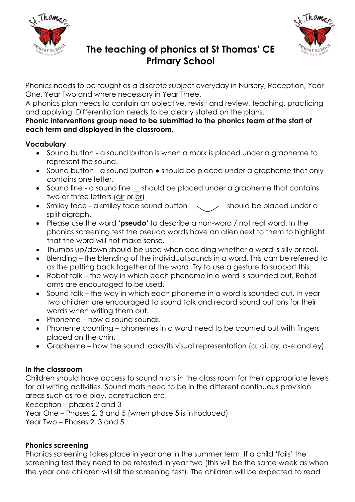



# **The teaching of phonics at St Thomas' CE Primary School**

Phonics needs to be taught as a discrete subject everyday in Nursery, Reception, Year One, Year Two and where necessary in Year Three.

A phonics plan needs to contain an objective, revisit and review, teaching, practicing and applying. Differentiation needs to be clearly stated on the plans.

#### **Phonic interventions group need to be submitted to the phonics team at the start of each term and displayed in the classroom.**

# **Vocabulary**

- Sound button a sound button is when a mark is placed under a grapheme to represent the sound.
- Sound button a sound button should be placed under a grapheme that only contains one letter.
- Sound line a sound line should be placed under a grapheme that contains two or three letters (air or er)
- Smiley face a smiley face sound button  $\sim$  / should be placed under a split digraph.
- Please use the word **'pseudo'** to describe a non-word / not real word. In the phonics screening test the pseudo words have an alien next to them to highlight that the word will not make sense.
- Thumbs up/down should be used when deciding whether a word is silly or real.
- Blending the blending of the individual sounds in a word. This can be referred to as the putting back together of the word. Try to use a gesture to support this.
- Robot talk the way in which each phoneme in a word is sounded out. Robot arms are encouraged to be used.
- Sound talk the way in which each phoneme in a word is sounded out. In year two children are encouraged to sound talk and record sound buttons for their words when writing them out.
- Phoneme how a sound sounds.
- Phoneme counting phonemes in a word need to be counted out with fingers placed on the chin.
- Grapheme how the sound looks/its visual representation (a, ai, ay, a-e and ey).

## **In the classroom**

Children should have access to sound mats in the class room for their appropriate levels for all writing activities. Sound mats need to be in the different continuous provision areas such as role play, construction etc.

Reception – phases 2 and 3

Year One – Phases 2, 3 and 5 (when phase 5 is introduced)

Year Two – Phases 2, 3 and 5.

## **Phonics screening**

Phonics screening takes place in year one in the summer term. If a child 'fails' the screening test they need to be retested in year two (this will be the same week as when the year one children will sit the screening test). The children will be expected to read